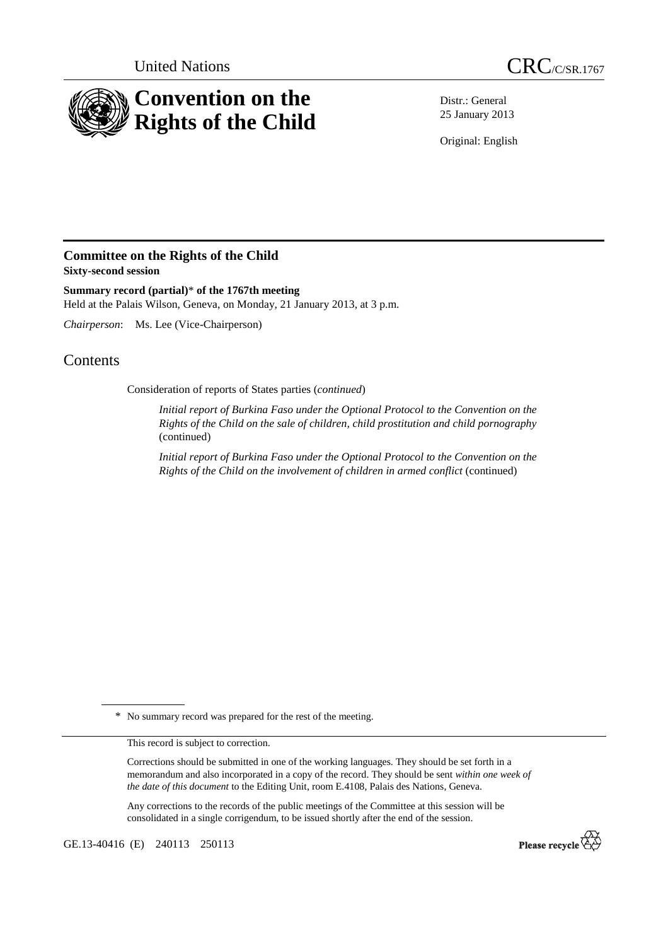



Distr.: General 25 January 2013

Original: English

## **Committee on the Rights of the Child Sixty-second session**

**Summary record (partial)**\* **of the 1767th meeting**  Held at the Palais Wilson, Geneva, on Monday, 21 January 2013, at 3 p.m.

*Chairperson*: Ms. Lee (Vice-Chairperson)

## **Contents**

Consideration of reports of States parties (*continued*)

*Initial report of Burkina Faso under the Optional Protocol to the Convention on the Rights of the Child on the sale of children, child prostitution and child pornography* (continued)

*Initial report of Burkina Faso under the Optional Protocol to the Convention on the Rights of the Child on the involvement of children in armed conflict* (continued)

\* No summary record was prepared for the rest of the meeting.

This record is subject to correction.

Corrections should be submitted in one of the working languages. They should be set forth in a memorandum and also incorporated in a copy of the record. They should be sent *within one week of the date of this document* to the Editing Unit, room E.4108, Palais des Nations, Geneva.

Any corrections to the records of the public meetings of the Committee at this session will be consolidated in a single corrigendum, to be issued shortly after the end of the session.

GE.13-40416 (E) 240113 250113

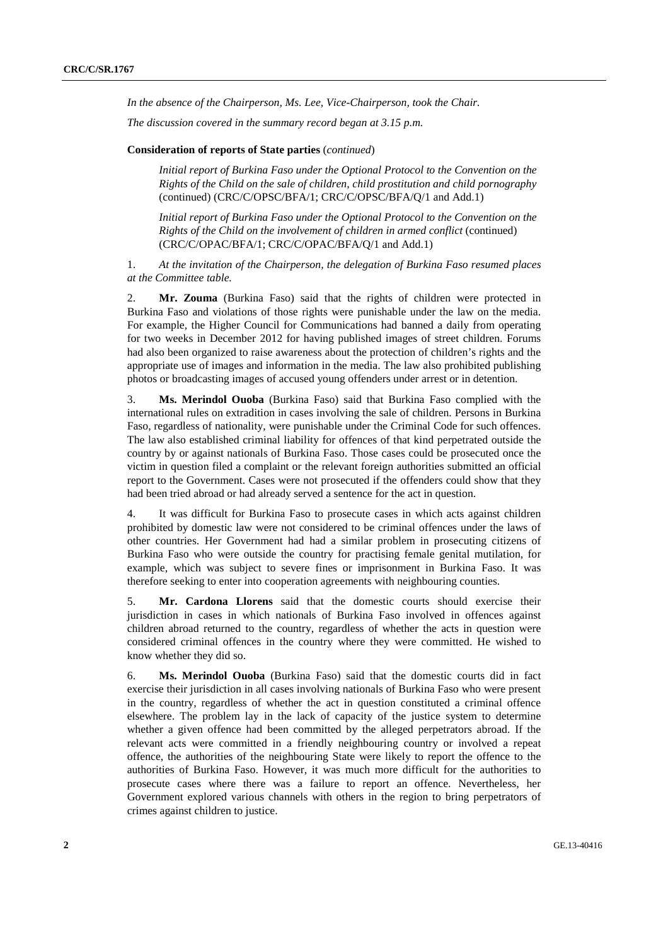*In the absence of the Chairperson, Ms. Lee, Vice-Chairperson, took the Chair.* 

*The discussion covered in the summary record began at 3.15 p.m.* 

## **Consideration of reports of State parties** (*continued*)

*Initial report of Burkina Faso under the Optional Protocol to the Convention on the Rights of the Child on the sale of children, child prostitution and child pornography*  (continued) (CRC/C/OPSC/BFA/1; CRC/C/OPSC/BFA/Q/1 and Add.1)

*Initial report of Burkina Faso under the Optional Protocol to the Convention on the Rights of the Child on the involvement of children in armed conflict* (continued) (CRC/C/OPAC/BFA/1; CRC/C/OPAC/BFA/Q/1 and Add.1)

1. *At the invitation of the Chairperson, the delegation of Burkina Faso resumed places at the Committee table.* 

2. **Mr. Zouma** (Burkina Faso) said that the rights of children were protected in Burkina Faso and violations of those rights were punishable under the law on the media. For example, the Higher Council for Communications had banned a daily from operating for two weeks in December 2012 for having published images of street children. Forums had also been organized to raise awareness about the protection of children's rights and the appropriate use of images and information in the media. The law also prohibited publishing photos or broadcasting images of accused young offenders under arrest or in detention.

3. **Ms. Merindol Ouoba** (Burkina Faso) said that Burkina Faso complied with the international rules on extradition in cases involving the sale of children. Persons in Burkina Faso, regardless of nationality, were punishable under the Criminal Code for such offences. The law also established criminal liability for offences of that kind perpetrated outside the country by or against nationals of Burkina Faso. Those cases could be prosecuted once the victim in question filed a complaint or the relevant foreign authorities submitted an official report to the Government. Cases were not prosecuted if the offenders could show that they had been tried abroad or had already served a sentence for the act in question.

4. It was difficult for Burkina Faso to prosecute cases in which acts against children prohibited by domestic law were not considered to be criminal offences under the laws of other countries. Her Government had had a similar problem in prosecuting citizens of Burkina Faso who were outside the country for practising female genital mutilation, for example, which was subject to severe fines or imprisonment in Burkina Faso. It was therefore seeking to enter into cooperation agreements with neighbouring counties.

5. **Mr. Cardona Llorens** said that the domestic courts should exercise their jurisdiction in cases in which nationals of Burkina Faso involved in offences against children abroad returned to the country, regardless of whether the acts in question were considered criminal offences in the country where they were committed. He wished to know whether they did so.

6. **Ms. Merindol Ouoba** (Burkina Faso) said that the domestic courts did in fact exercise their jurisdiction in all cases involving nationals of Burkina Faso who were present in the country, regardless of whether the act in question constituted a criminal offence elsewhere. The problem lay in the lack of capacity of the justice system to determine whether a given offence had been committed by the alleged perpetrators abroad. If the relevant acts were committed in a friendly neighbouring country or involved a repeat offence, the authorities of the neighbouring State were likely to report the offence to the authorities of Burkina Faso. However, it was much more difficult for the authorities to prosecute cases where there was a failure to report an offence. Nevertheless, her Government explored various channels with others in the region to bring perpetrators of crimes against children to justice.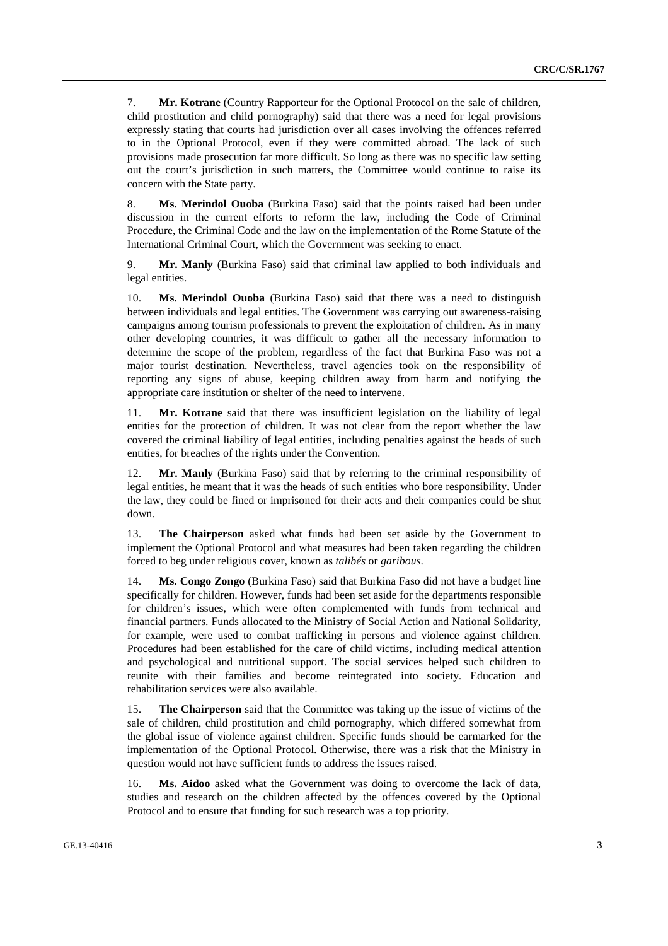7. **Mr. Kotrane** (Country Rapporteur for the Optional Protocol on the sale of children, child prostitution and child pornography) said that there was a need for legal provisions expressly stating that courts had jurisdiction over all cases involving the offences referred to in the Optional Protocol, even if they were committed abroad. The lack of such provisions made prosecution far more difficult. So long as there was no specific law setting out the court's jurisdiction in such matters, the Committee would continue to raise its concern with the State party.

8. **Ms. Merindol Ouoba** (Burkina Faso) said that the points raised had been under discussion in the current efforts to reform the law, including the Code of Criminal Procedure, the Criminal Code and the law on the implementation of the Rome Statute of the International Criminal Court, which the Government was seeking to enact.

9. **Mr. Manly** (Burkina Faso) said that criminal law applied to both individuals and legal entities.

10. **Ms. Merindol Ouoba** (Burkina Faso) said that there was a need to distinguish between individuals and legal entities. The Government was carrying out awareness-raising campaigns among tourism professionals to prevent the exploitation of children. As in many other developing countries, it was difficult to gather all the necessary information to determine the scope of the problem, regardless of the fact that Burkina Faso was not a major tourist destination. Nevertheless, travel agencies took on the responsibility of reporting any signs of abuse, keeping children away from harm and notifying the appropriate care institution or shelter of the need to intervene.

11. **Mr. Kotrane** said that there was insufficient legislation on the liability of legal entities for the protection of children. It was not clear from the report whether the law covered the criminal liability of legal entities, including penalties against the heads of such entities, for breaches of the rights under the Convention.

12. **Mr. Manly** (Burkina Faso) said that by referring to the criminal responsibility of legal entities, he meant that it was the heads of such entities who bore responsibility. Under the law, they could be fined or imprisoned for their acts and their companies could be shut down.

13. **The Chairperson** asked what funds had been set aside by the Government to implement the Optional Protocol and what measures had been taken regarding the children forced to beg under religious cover, known as *talibés* or *garibous*.

14. **Ms. Congo Zongo** (Burkina Faso) said that Burkina Faso did not have a budget line specifically for children. However, funds had been set aside for the departments responsible for children's issues, which were often complemented with funds from technical and financial partners. Funds allocated to the Ministry of Social Action and National Solidarity, for example, were used to combat trafficking in persons and violence against children. Procedures had been established for the care of child victims, including medical attention and psychological and nutritional support. The social services helped such children to reunite with their families and become reintegrated into society. Education and rehabilitation services were also available.

15. **The Chairperson** said that the Committee was taking up the issue of victims of the sale of children, child prostitution and child pornography, which differed somewhat from the global issue of violence against children. Specific funds should be earmarked for the implementation of the Optional Protocol. Otherwise, there was a risk that the Ministry in question would not have sufficient funds to address the issues raised.

16. **Ms. Aidoo** asked what the Government was doing to overcome the lack of data, studies and research on the children affected by the offences covered by the Optional Protocol and to ensure that funding for such research was a top priority.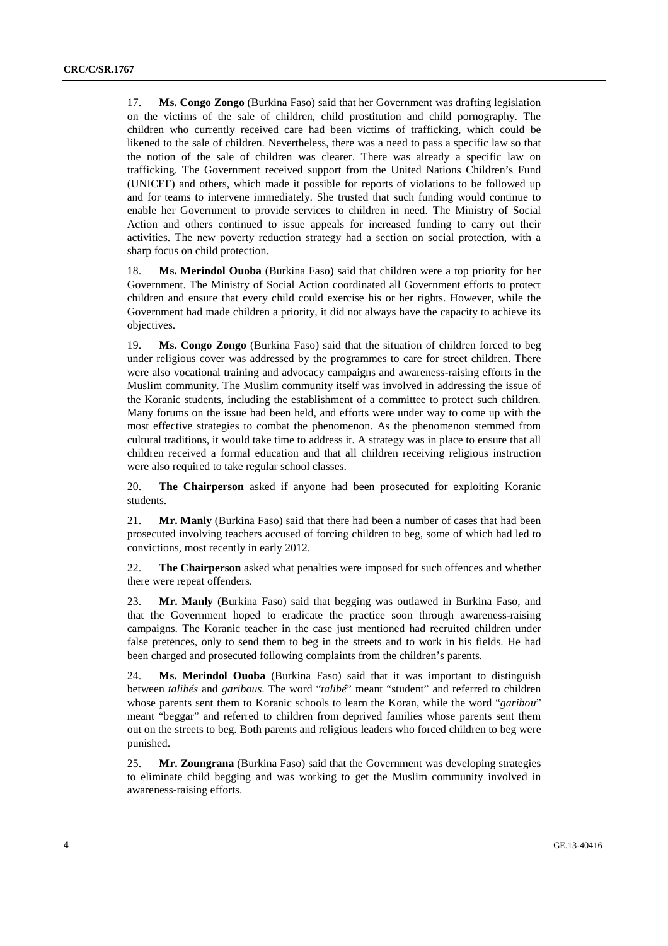17. **Ms. Congo Zongo** (Burkina Faso) said that her Government was drafting legislation on the victims of the sale of children, child prostitution and child pornography. The children who currently received care had been victims of trafficking, which could be likened to the sale of children. Nevertheless, there was a need to pass a specific law so that the notion of the sale of children was clearer. There was already a specific law on trafficking. The Government received support from the United Nations Children's Fund (UNICEF) and others, which made it possible for reports of violations to be followed up and for teams to intervene immediately. She trusted that such funding would continue to enable her Government to provide services to children in need. The Ministry of Social Action and others continued to issue appeals for increased funding to carry out their activities. The new poverty reduction strategy had a section on social protection, with a sharp focus on child protection.

18. **Ms. Merindol Ouoba** (Burkina Faso) said that children were a top priority for her Government. The Ministry of Social Action coordinated all Government efforts to protect children and ensure that every child could exercise his or her rights. However, while the Government had made children a priority, it did not always have the capacity to achieve its objectives.

19. **Ms. Congo Zongo** (Burkina Faso) said that the situation of children forced to beg under religious cover was addressed by the programmes to care for street children. There were also vocational training and advocacy campaigns and awareness-raising efforts in the Muslim community. The Muslim community itself was involved in addressing the issue of the Koranic students, including the establishment of a committee to protect such children. Many forums on the issue had been held, and efforts were under way to come up with the most effective strategies to combat the phenomenon. As the phenomenon stemmed from cultural traditions, it would take time to address it. A strategy was in place to ensure that all children received a formal education and that all children receiving religious instruction were also required to take regular school classes.

20. **The Chairperson** asked if anyone had been prosecuted for exploiting Koranic students.

21. **Mr. Manly** (Burkina Faso) said that there had been a number of cases that had been prosecuted involving teachers accused of forcing children to beg, some of which had led to convictions, most recently in early 2012.

22. **The Chairperson** asked what penalties were imposed for such offences and whether there were repeat offenders.

23. **Mr. Manly** (Burkina Faso) said that begging was outlawed in Burkina Faso, and that the Government hoped to eradicate the practice soon through awareness-raising campaigns. The Koranic teacher in the case just mentioned had recruited children under false pretences, only to send them to beg in the streets and to work in his fields. He had been charged and prosecuted following complaints from the children's parents.

24. **Ms. Merindol Ouoba** (Burkina Faso) said that it was important to distinguish between *talibés* and *garibous*. The word "*talibé*" meant "student" and referred to children whose parents sent them to Koranic schools to learn the Koran, while the word "*garibou*" meant "beggar" and referred to children from deprived families whose parents sent them out on the streets to beg. Both parents and religious leaders who forced children to beg were punished.

25. **Mr. Zoungrana** (Burkina Faso) said that the Government was developing strategies to eliminate child begging and was working to get the Muslim community involved in awareness-raising efforts.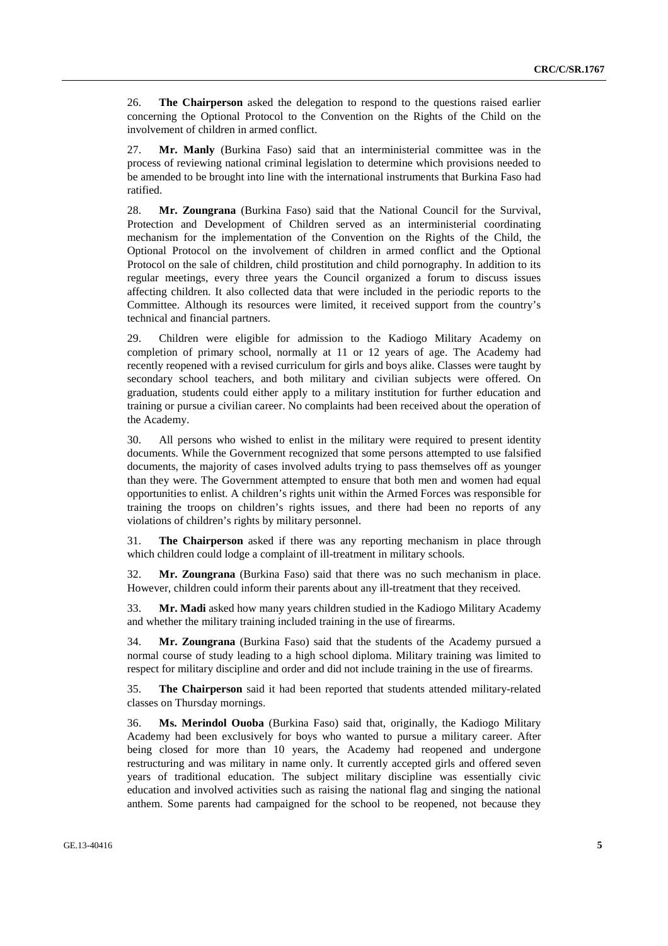26. **The Chairperson** asked the delegation to respond to the questions raised earlier concerning the Optional Protocol to the Convention on the Rights of the Child on the involvement of children in armed conflict.

27. **Mr. Manly** (Burkina Faso) said that an interministerial committee was in the process of reviewing national criminal legislation to determine which provisions needed to be amended to be brought into line with the international instruments that Burkina Faso had ratified.

28. **Mr. Zoungrana** (Burkina Faso) said that the National Council for the Survival, Protection and Development of Children served as an interministerial coordinating mechanism for the implementation of the Convention on the Rights of the Child, the Optional Protocol on the involvement of children in armed conflict and the Optional Protocol on the sale of children, child prostitution and child pornography. In addition to its regular meetings, every three years the Council organized a forum to discuss issues affecting children. It also collected data that were included in the periodic reports to the Committee. Although its resources were limited, it received support from the country's technical and financial partners.

29. Children were eligible for admission to the Kadiogo Military Academy on completion of primary school, normally at 11 or 12 years of age. The Academy had recently reopened with a revised curriculum for girls and boys alike. Classes were taught by secondary school teachers, and both military and civilian subjects were offered. On graduation, students could either apply to a military institution for further education and training or pursue a civilian career. No complaints had been received about the operation of the Academy.

30. All persons who wished to enlist in the military were required to present identity documents. While the Government recognized that some persons attempted to use falsified documents, the majority of cases involved adults trying to pass themselves off as younger than they were. The Government attempted to ensure that both men and women had equal opportunities to enlist. A children's rights unit within the Armed Forces was responsible for training the troops on children's rights issues, and there had been no reports of any violations of children's rights by military personnel.

31. **The Chairperson** asked if there was any reporting mechanism in place through which children could lodge a complaint of ill-treatment in military schools.

32. **Mr. Zoungrana** (Burkina Faso) said that there was no such mechanism in place. However, children could inform their parents about any ill-treatment that they received.

33. **Mr. Madi** asked how many years children studied in the Kadiogo Military Academy and whether the military training included training in the use of firearms.

34. **Mr. Zoungrana** (Burkina Faso) said that the students of the Academy pursued a normal course of study leading to a high school diploma. Military training was limited to respect for military discipline and order and did not include training in the use of firearms.

35. **The Chairperson** said it had been reported that students attended military-related classes on Thursday mornings.

36. **Ms. Merindol Ouoba** (Burkina Faso) said that, originally, the Kadiogo Military Academy had been exclusively for boys who wanted to pursue a military career. After being closed for more than 10 years, the Academy had reopened and undergone restructuring and was military in name only. It currently accepted girls and offered seven years of traditional education. The subject military discipline was essentially civic education and involved activities such as raising the national flag and singing the national anthem. Some parents had campaigned for the school to be reopened, not because they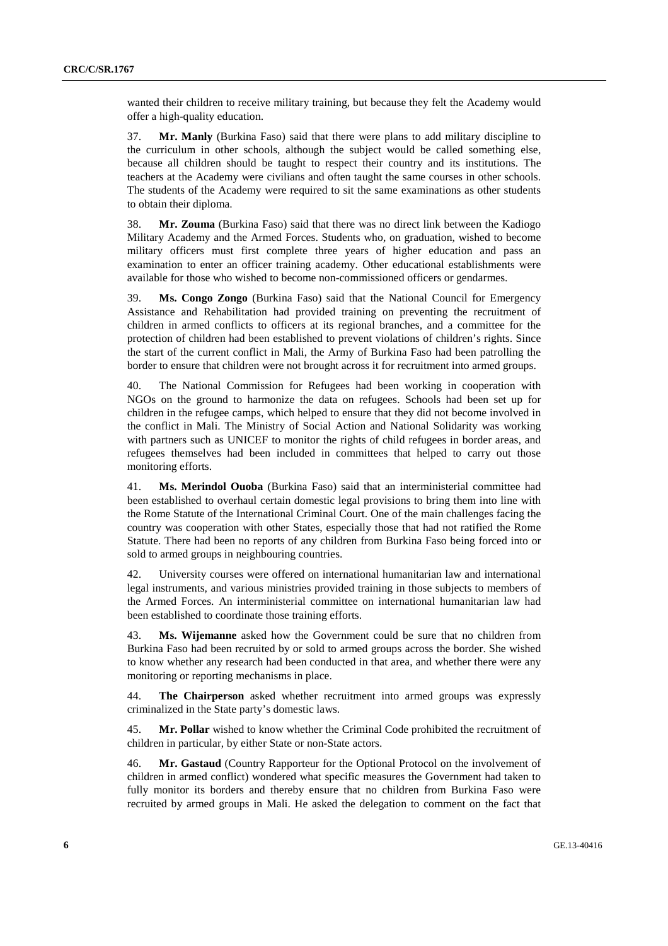wanted their children to receive military training, but because they felt the Academy would offer a high-quality education.

37. **Mr. Manly** (Burkina Faso) said that there were plans to add military discipline to the curriculum in other schools, although the subject would be called something else, because all children should be taught to respect their country and its institutions. The teachers at the Academy were civilians and often taught the same courses in other schools. The students of the Academy were required to sit the same examinations as other students to obtain their diploma.

38. **Mr. Zouma** (Burkina Faso) said that there was no direct link between the Kadiogo Military Academy and the Armed Forces. Students who, on graduation, wished to become military officers must first complete three years of higher education and pass an examination to enter an officer training academy. Other educational establishments were available for those who wished to become non-commissioned officers or gendarmes.

39. **Ms. Congo Zongo** (Burkina Faso) said that the National Council for Emergency Assistance and Rehabilitation had provided training on preventing the recruitment of children in armed conflicts to officers at its regional branches, and a committee for the protection of children had been established to prevent violations of children's rights. Since the start of the current conflict in Mali, the Army of Burkina Faso had been patrolling the border to ensure that children were not brought across it for recruitment into armed groups.

40. The National Commission for Refugees had been working in cooperation with NGOs on the ground to harmonize the data on refugees. Schools had been set up for children in the refugee camps, which helped to ensure that they did not become involved in the conflict in Mali. The Ministry of Social Action and National Solidarity was working with partners such as UNICEF to monitor the rights of child refugees in border areas, and refugees themselves had been included in committees that helped to carry out those monitoring efforts.

41. **Ms. Merindol Ouoba** (Burkina Faso) said that an interministerial committee had been established to overhaul certain domestic legal provisions to bring them into line with the Rome Statute of the International Criminal Court. One of the main challenges facing the country was cooperation with other States, especially those that had not ratified the Rome Statute. There had been no reports of any children from Burkina Faso being forced into or sold to armed groups in neighbouring countries.

42. University courses were offered on international humanitarian law and international legal instruments, and various ministries provided training in those subjects to members of the Armed Forces. An interministerial committee on international humanitarian law had been established to coordinate those training efforts.

43. **Ms. Wijemanne** asked how the Government could be sure that no children from Burkina Faso had been recruited by or sold to armed groups across the border. She wished to know whether any research had been conducted in that area, and whether there were any monitoring or reporting mechanisms in place.

44. **The Chairperson** asked whether recruitment into armed groups was expressly criminalized in the State party's domestic laws.

45. **Mr. Pollar** wished to know whether the Criminal Code prohibited the recruitment of children in particular, by either State or non-State actors.

46. **Mr. Gastaud** (Country Rapporteur for the Optional Protocol on the involvement of children in armed conflict) wondered what specific measures the Government had taken to fully monitor its borders and thereby ensure that no children from Burkina Faso were recruited by armed groups in Mali. He asked the delegation to comment on the fact that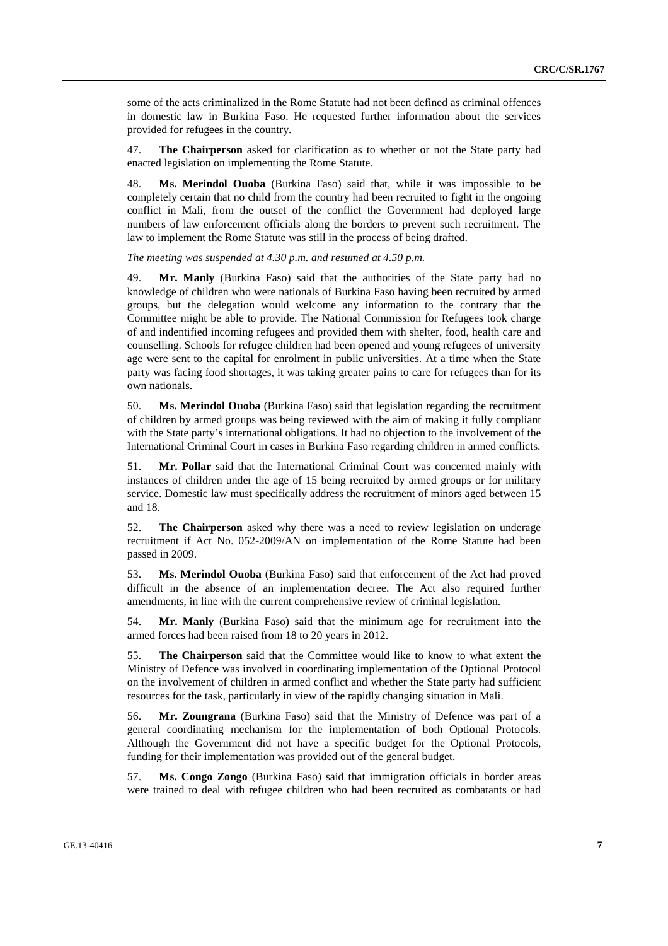some of the acts criminalized in the Rome Statute had not been defined as criminal offences in domestic law in Burkina Faso. He requested further information about the services provided for refugees in the country.

47. **The Chairperson** asked for clarification as to whether or not the State party had enacted legislation on implementing the Rome Statute.

48. **Ms. Merindol Ouoba** (Burkina Faso) said that, while it was impossible to be completely certain that no child from the country had been recruited to fight in the ongoing conflict in Mali, from the outset of the conflict the Government had deployed large numbers of law enforcement officials along the borders to prevent such recruitment. The law to implement the Rome Statute was still in the process of being drafted.

*The meeting was suspended at 4.30 p.m. and resumed at 4.50 p.m.* 

49. **Mr. Manly** (Burkina Faso) said that the authorities of the State party had no knowledge of children who were nationals of Burkina Faso having been recruited by armed groups, but the delegation would welcome any information to the contrary that the Committee might be able to provide. The National Commission for Refugees took charge of and indentified incoming refugees and provided them with shelter, food, health care and counselling. Schools for refugee children had been opened and young refugees of university age were sent to the capital for enrolment in public universities. At a time when the State party was facing food shortages, it was taking greater pains to care for refugees than for its own nationals.

50. **Ms. Merindol Ouoba** (Burkina Faso) said that legislation regarding the recruitment of children by armed groups was being reviewed with the aim of making it fully compliant with the State party's international obligations. It had no objection to the involvement of the International Criminal Court in cases in Burkina Faso regarding children in armed conflicts.

51. **Mr. Pollar** said that the International Criminal Court was concerned mainly with instances of children under the age of 15 being recruited by armed groups or for military service. Domestic law must specifically address the recruitment of minors aged between 15 and 18.

52. **The Chairperson** asked why there was a need to review legislation on underage recruitment if Act No. 052-2009/AN on implementation of the Rome Statute had been passed in 2009.

53. **Ms. Merindol Ouoba** (Burkina Faso) said that enforcement of the Act had proved difficult in the absence of an implementation decree. The Act also required further amendments, in line with the current comprehensive review of criminal legislation.

54. **Mr. Manly** (Burkina Faso) said that the minimum age for recruitment into the armed forces had been raised from 18 to 20 years in 2012.

55. **The Chairperson** said that the Committee would like to know to what extent the Ministry of Defence was involved in coordinating implementation of the Optional Protocol on the involvement of children in armed conflict and whether the State party had sufficient resources for the task, particularly in view of the rapidly changing situation in Mali.

56. **Mr. Zoungrana** (Burkina Faso) said that the Ministry of Defence was part of a general coordinating mechanism for the implementation of both Optional Protocols. Although the Government did not have a specific budget for the Optional Protocols, funding for their implementation was provided out of the general budget.

57. **Ms. Congo Zongo** (Burkina Faso) said that immigration officials in border areas were trained to deal with refugee children who had been recruited as combatants or had